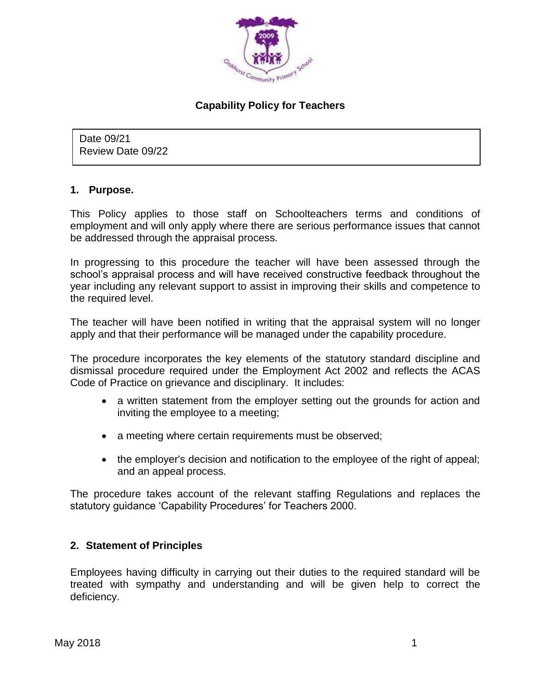

# **Capability Policy for Teachers**

Date 09/21 Review Date 09/22

### **1. Purpose.**

This Policy applies to those staff on Schoolteachers terms and conditions of employment and will only apply where there are serious performance issues that cannot be addressed through the appraisal process.

In progressing to this procedure the teacher will have been assessed through the school's appraisal process and will have received constructive feedback throughout the year including any relevant support to assist in improving their skills and competence to the required level.

The teacher will have been notified in writing that the appraisal system will no longer apply and that their performance will be managed under the capability procedure.

The procedure incorporates the key elements of the statutory standard discipline and dismissal procedure required under the Employment Act 2002 and reflects the ACAS Code of Practice on grievance and disciplinary. It includes:

- a written statement from the employer setting out the grounds for action and inviting the employee to a meeting;
- a meeting where certain requirements must be observed;
- the employer's decision and notification to the employee of the right of appeal; and an appeal process.

The procedure takes account of the relevant staffing Regulations and replaces the statutory guidance 'Capability Procedures' for Teachers 2000.

### **2. Statement of Principles**

Employees having difficulty in carrying out their duties to the required standard will be treated with sympathy and understanding and will be given help to correct the deficiency.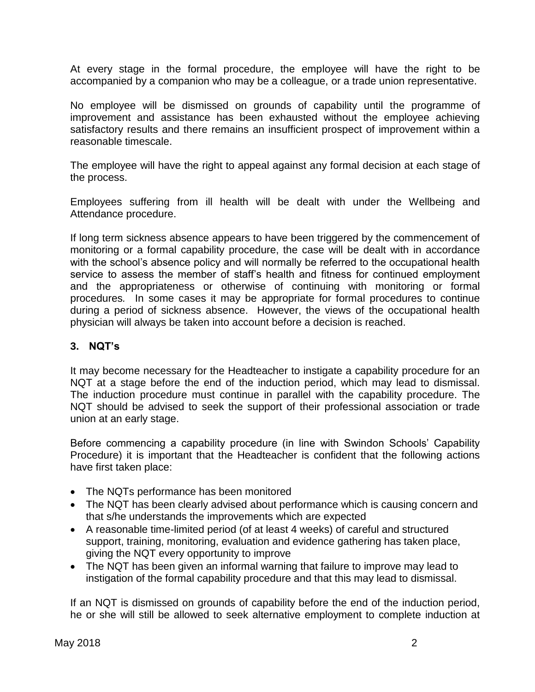At every stage in the formal procedure, the employee will have the right to be accompanied by a companion who may be a colleague, or a trade union representative.

No employee will be dismissed on grounds of capability until the programme of improvement and assistance has been exhausted without the employee achieving satisfactory results and there remains an insufficient prospect of improvement within a reasonable timescale.

The employee will have the right to appeal against any formal decision at each stage of the process.

Employees suffering from ill health will be dealt with under the Wellbeing and Attendance procedure.

If long term sickness absence appears to have been triggered by the commencement of monitoring or a formal capability procedure, the case will be dealt with in accordance with the school's absence policy and will normally be referred to the occupational health service to assess the member of staff's health and fitness for continued employment and the appropriateness or otherwise of continuing with monitoring or formal procedures*.* In some cases it may be appropriate for formal procedures to continue during a period of sickness absence. However, the views of the occupational health physician will always be taken into account before a decision is reached.

# **3. NQT's**

It may become necessary for the Headteacher to instigate a capability procedure for an NQT at a stage before the end of the induction period, which may lead to dismissal. The induction procedure must continue in parallel with the capability procedure. The NQT should be advised to seek the support of their professional association or trade union at an early stage.

Before commencing a capability procedure (in line with Swindon Schools' Capability Procedure) it is important that the Headteacher is confident that the following actions have first taken place:

- The NQTs performance has been monitored
- The NQT has been clearly advised about performance which is causing concern and that s/he understands the improvements which are expected
- A reasonable time-limited period (of at least 4 weeks) of careful and structured support, training, monitoring, evaluation and evidence gathering has taken place, giving the NQT every opportunity to improve
- The NQT has been given an informal warning that failure to improve may lead to instigation of the formal capability procedure and that this may lead to dismissal.

If an NQT is dismissed on grounds of capability before the end of the induction period, he or she will still be allowed to seek alternative employment to complete induction at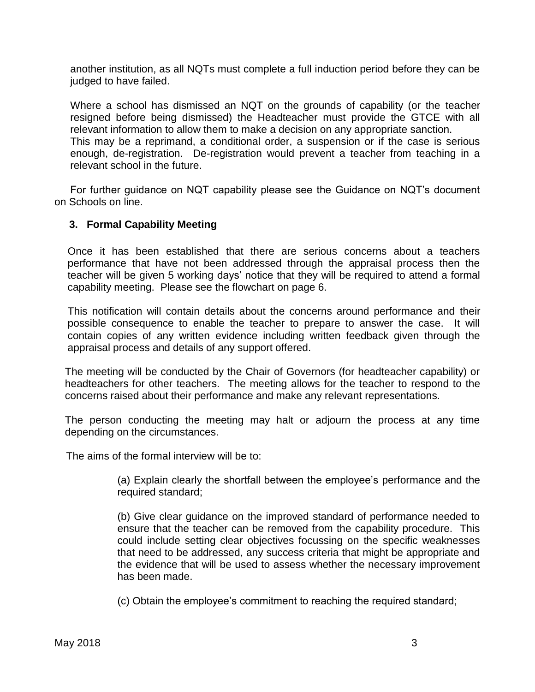another institution, as all NQTs must complete a full induction period before they can be judged to have failed.

Where a school has dismissed an NQT on the grounds of capability (or the teacher resigned before being dismissed) the Headteacher must provide the GTCE with all relevant information to allow them to make a decision on any appropriate sanction. This may be a reprimand, a conditional order, a suspension or if the case is serious enough, de-registration. De-registration would prevent a teacher from teaching in a relevant school in the future.

For further guidance on NQT capability please see the Guidance on NQT's document on Schools on line.

## **3. Formal Capability Meeting**

Once it has been established that there are serious concerns about a teachers performance that have not been addressed through the appraisal process then the teacher will be given 5 working days' notice that they will be required to attend a formal capability meeting. Please see the flowchart on page 6.

This notification will contain details about the concerns around performance and their possible consequence to enable the teacher to prepare to answer the case. It will contain copies of any written evidence including written feedback given through the appraisal process and details of any support offered.

The meeting will be conducted by the Chair of Governors (for headteacher capability) or headteachers for other teachers. The meeting allows for the teacher to respond to the concerns raised about their performance and make any relevant representations.

The person conducting the meeting may halt or adjourn the process at any time depending on the circumstances.

The aims of the formal interview will be to:

(a) Explain clearly the shortfall between the employee's performance and the required standard;

(b) Give clear guidance on the improved standard of performance needed to ensure that the teacher can be removed from the capability procedure. This could include setting clear objectives focussing on the specific weaknesses that need to be addressed, any success criteria that might be appropriate and the evidence that will be used to assess whether the necessary improvement has been made.

(c) Obtain the employee's commitment to reaching the required standard;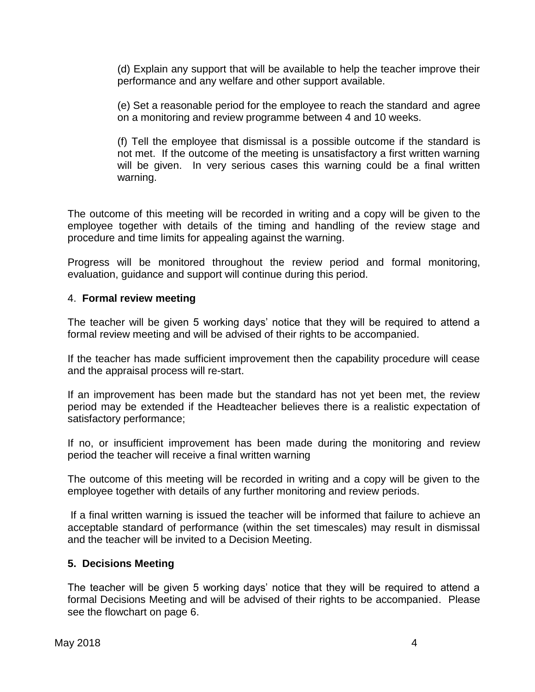(d) Explain any support that will be available to help the teacher improve their performance and any welfare and other support available.

(e) Set a reasonable period for the employee to reach the standard and agree on a monitoring and review programme between 4 and 10 weeks.

(f) Tell the employee that dismissal is a possible outcome if the standard is not met. If the outcome of the meeting is unsatisfactory a first written warning will be given. In very serious cases this warning could be a final written warning.

The outcome of this meeting will be recorded in writing and a copy will be given to the employee together with details of the timing and handling of the review stage and procedure and time limits for appealing against the warning.

Progress will be monitored throughout the review period and formal monitoring, evaluation, guidance and support will continue during this period.

### 4. **Formal review meeting**

The teacher will be given 5 working days' notice that they will be required to attend a formal review meeting and will be advised of their rights to be accompanied.

If the teacher has made sufficient improvement then the capability procedure will cease and the appraisal process will re-start.

If an improvement has been made but the standard has not yet been met, the review period may be extended if the Headteacher believes there is a realistic expectation of satisfactory performance;

If no, or insufficient improvement has been made during the monitoring and review period the teacher will receive a final written warning

The outcome of this meeting will be recorded in writing and a copy will be given to the employee together with details of any further monitoring and review periods.

If a final written warning is issued the teacher will be informed that failure to achieve an acceptable standard of performance (within the set timescales) may result in dismissal and the teacher will be invited to a Decision Meeting.

### **5. Decisions Meeting**

The teacher will be given 5 working days' notice that they will be required to attend a formal Decisions Meeting and will be advised of their rights to be accompanied. Please see the flowchart on page 6.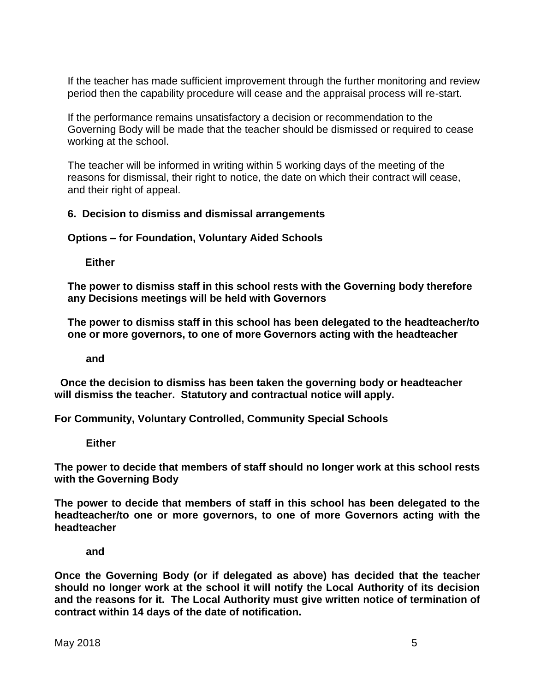If the teacher has made sufficient improvement through the further monitoring and review period then the capability procedure will cease and the appraisal process will re-start.

If the performance remains unsatisfactory a decision or recommendation to the Governing Body will be made that the teacher should be dismissed or required to cease working at the school.

The teacher will be informed in writing within 5 working days of the meeting of the reasons for dismissal, their right to notice, the date on which their contract will cease, and their right of appeal.

## **6. Decision to dismiss and dismissal arrangements**

**Options – for Foundation, Voluntary Aided Schools**

 **Either**

**The power to dismiss staff in this school rests with the Governing body therefore any Decisions meetings will be held with Governors**

**The power to dismiss staff in this school has been delegated to the headteacher/to one or more governors, to one of more Governors acting with the headteacher**

**and**

 **Once the decision to dismiss has been taken the governing body or headteacher will dismiss the teacher. Statutory and contractual notice will apply.** 

**For Community, Voluntary Controlled, Community Special Schools**

**Either**

**The power to decide that members of staff should no longer work at this school rests with the Governing Body**

**The power to decide that members of staff in this school has been delegated to the headteacher/to one or more governors, to one of more Governors acting with the headteacher**

**and** 

**Once the Governing Body (or if delegated as above) has decided that the teacher should no longer work at the school it will notify the Local Authority of its decision and the reasons for it. The Local Authority must give written notice of termination of contract within 14 days of the date of notification.**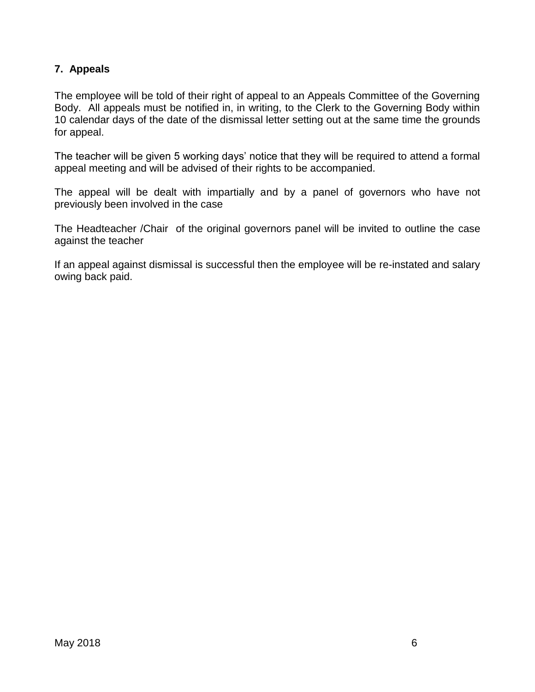## **7. Appeals**

The employee will be told of their right of appeal to an Appeals Committee of the Governing Body. All appeals must be notified in, in writing, to the Clerk to the Governing Body within 10 calendar days of the date of the dismissal letter setting out at the same time the grounds for appeal.

The teacher will be given 5 working days' notice that they will be required to attend a formal appeal meeting and will be advised of their rights to be accompanied.

The appeal will be dealt with impartially and by a panel of governors who have not previously been involved in the case

The Headteacher /Chair of the original governors panel will be invited to outline the case against the teacher

If an appeal against dismissal is successful then the employee will be re-instated and salary owing back paid.